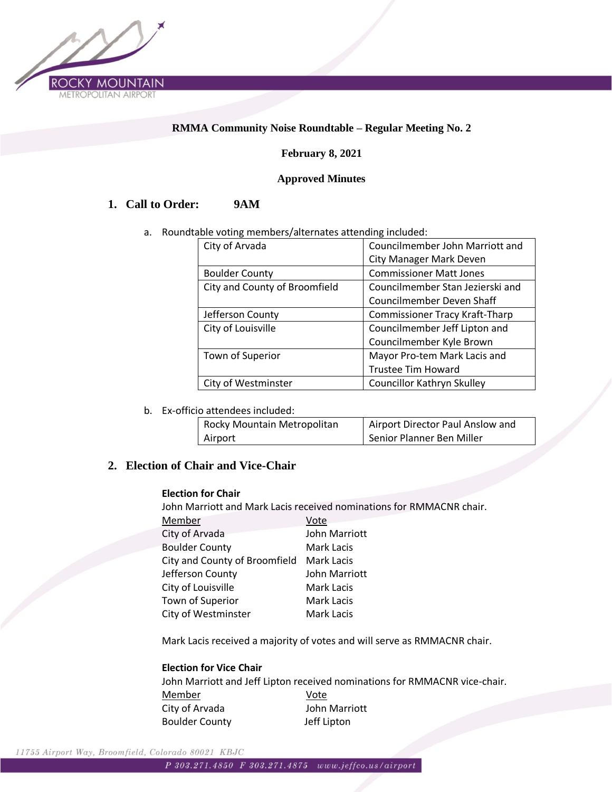

### **RMMA Community Noise Roundtable – Regular Meeting No. 2**

### **February 8, 2021**

#### **Approved Minutes**

# **1. Call to Order: 9AM**

a. Roundtable voting members/alternates attending included:

| City of Arvada                | Councilmember John Marriott and       |
|-------------------------------|---------------------------------------|
|                               | <b>City Manager Mark Deven</b>        |
| <b>Boulder County</b>         | <b>Commissioner Matt Jones</b>        |
| City and County of Broomfield | Councilmember Stan Jezierski and      |
|                               | <b>Councilmember Deven Shaff</b>      |
| Jefferson County              | <b>Commissioner Tracy Kraft-Tharp</b> |
| City of Louisville            | Councilmember Jeff Lipton and         |
|                               | Councilmember Kyle Brown              |
| Town of Superior              | Mayor Pro-tem Mark Lacis and          |
|                               | <b>Trustee Tim Howard</b>             |
| City of Westminster           | Councillor Kathryn Skulley            |

b. Ex-officio attendees included:

| Rocky Mountain Metropolitan | Airport Director Paul Anslow and |
|-----------------------------|----------------------------------|
| Airport                     | Senior Planner Ben Miller        |

# **2. Election of Chair and Vice-Chair**

#### **Election for Chair**

John Marriott and Mark Lacis received nominations for RMMACNR chair.

| Member                        | Vote              |
|-------------------------------|-------------------|
| City of Arvada                | John Marriott     |
| <b>Boulder County</b>         | Mark Lacis        |
| City and County of Broomfield | Mark Lacis        |
| Jefferson County              | John Marriott     |
| City of Louisville            | Mark Lacis        |
| Town of Superior              | <b>Mark Lacis</b> |
| City of Westminster           | <b>Mark Lacis</b> |

Mark Lacis received a majority of votes and will serve as RMMACNR chair.

#### **Election for Vice Chair**

John Marriott and Jeff Lipton received nominations for RMMACNR vice-chair. Member Vote City of Arvada John Marriott Boulder County Jeff Lipton

11755 Airport Way, Broomfield, Colorado 80021 KBJC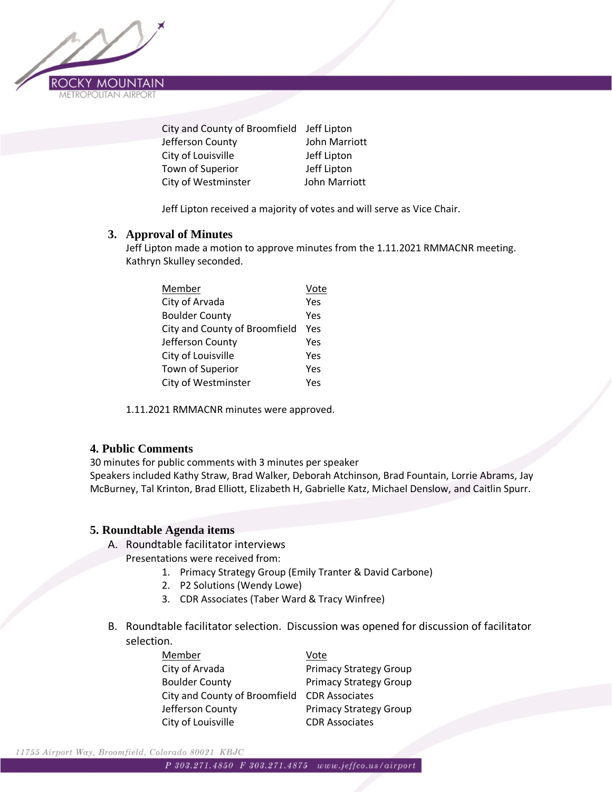

| City and County of Broomfield Jeff Lipton |
|-------------------------------------------|
| John Marriott                             |
| Jeff Lipton                               |
| Jeff Lipton                               |
| John Marriott                             |
|                                           |

Jeff Lipton received a majority of votes and will serve as Vice Chair.

### **3. Approval of Minutes**

Jeff Lipton made a motion to approve minutes from the 1.11.2021 RMMACNR meeting. Kathryn Skulley seconded.

| Vote |
|------|
| Yes  |
| Yes  |
| Yes  |
| Yes  |
| Yes  |
| Yes  |
| Υρς  |
|      |

1.11.2021 RMMACNR minutes were approved.

### **4. Public Comments**

30 minutes for public comments with 3 minutes per speaker

Speakers included Kathy Straw, Brad Walker, Deborah Atchinson, Brad Fountain, Lorrie Abrams, Jay McBurney, Tal Krinton, Brad Elliott, Elizabeth H, Gabrielle Katz, Michael Denslow, and Caitlin Spurr.

### **5. Roundtable Agenda items**

- A. Roundtable facilitator interviews
	- Presentations were received from:
		- 1. Primacy Strategy Group (Emily Tranter & David Carbone)
		- 2. P2 Solutions (Wendy Lowe)
		- 3. CDR Associates (Taber Ward & Tracy Winfree)
- B. Roundtable facilitator selection. Discussion was opened for discussion of facilitator selection.

| Member                                       | Vote                          |
|----------------------------------------------|-------------------------------|
| City of Arvada                               | <b>Primacy Strategy Group</b> |
| <b>Boulder County</b>                        | <b>Primacy Strategy Group</b> |
| City and County of Broomfield CDR Associates |                               |
| Jefferson County                             | <b>Primacy Strategy Group</b> |
| City of Louisville                           | <b>CDR Associates</b>         |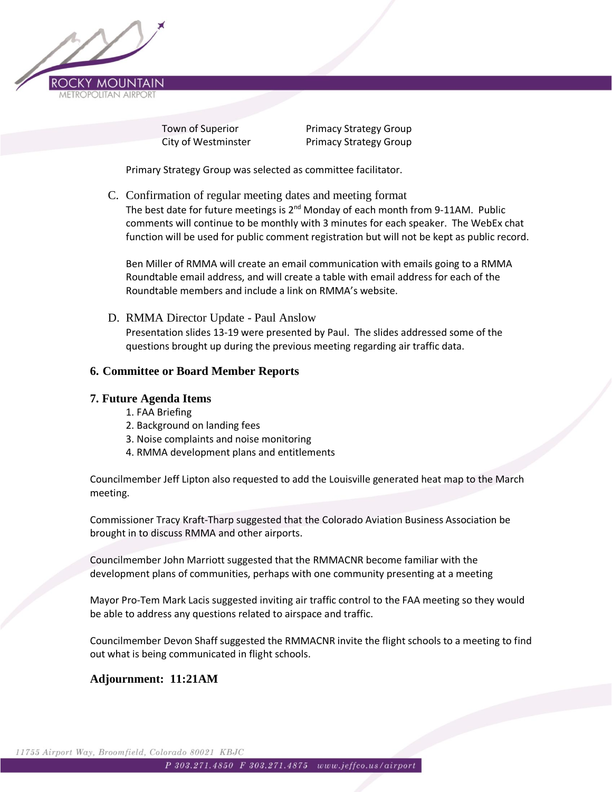

Town of Superior **Primacy Strategy Group** City of Westminster **Primacy Strategy Group** 

Primary Strategy Group was selected as committee facilitator.

C. Confirmation of regular meeting dates and meeting format

The best date for future meetings is  $2^{nd}$  Monday of each month from 9-11AM. Public comments will continue to be monthly with 3 minutes for each speaker. The WebEx chat function will be used for public comment registration but will not be kept as public record.

Ben Miller of RMMA will create an email communication with emails going to a RMMA Roundtable email address, and will create a table with email address for each of the Roundtable members and include a link on RMMA's website.

D. RMMA Director Update - Paul Anslow Presentation slides 13-19 were presented by Paul. The slides addressed some of the questions brought up during the previous meeting regarding air traffic data.

### **6. Committee or Board Member Reports**

#### **7. Future Agenda Items**

- 1. FAA Briefing
- 2. Background on landing fees
- 3. Noise complaints and noise monitoring
- 4. RMMA development plans and entitlements

Councilmember Jeff Lipton also requested to add the Louisville generated heat map to the March meeting.

Commissioner Tracy Kraft-Tharp suggested that the Colorado Aviation Business Association be brought in to discuss RMMA and other airports.

Councilmember John Marriott suggested that the RMMACNR become familiar with the development plans of communities, perhaps with one community presenting at a meeting

Mayor Pro-Tem Mark Lacis suggested inviting air traffic control to the FAA meeting so they would be able to address any questions related to airspace and traffic.

Councilmember Devon Shaff suggested the RMMACNR invite the flight schools to a meeting to find out what is being communicated in flight schools.

# **Adjournment: 11:21AM**